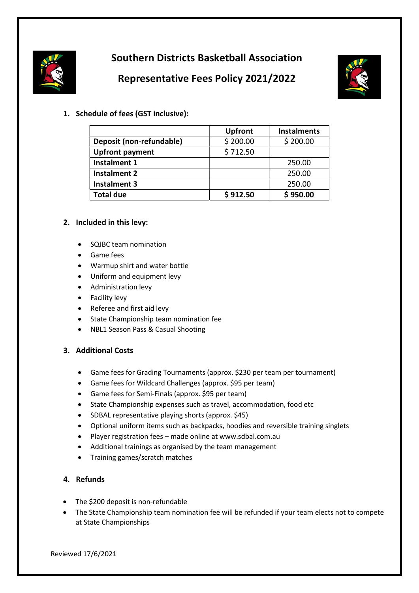

# Southern Districts Basketball Association

## Representative Fees Policy 2021/2022



1. Schedule of fees (GST inclusive):

|                          | <b>Upfront</b> | <b>Instalments</b> |
|--------------------------|----------------|--------------------|
| Deposit (non-refundable) | \$200.00       | \$200.00           |
| <b>Upfront payment</b>   | \$712.50       |                    |
| Instalment 1             |                | 250.00             |
| <b>Instalment 2</b>      |                | 250.00             |
| <b>Instalment 3</b>      |                | 250.00             |
| <b>Total due</b>         | \$912.50       | \$950.00           |

## 2. Included in this levy:

- SQJBC team nomination
- Game fees
- Warmup shirt and water bottle
- Uniform and equipment levy
- Administration levy
- Facility levy
- Referee and first aid levy
- **•** State Championship team nomination fee
- NBL1 Season Pass & Casual Shooting

## 3. Additional Costs

- Game fees for Grading Tournaments (approx. \$230 per team per tournament)
- Game fees for Wildcard Challenges (approx. \$95 per team)
- Game fees for Semi-Finals (approx. \$95 per team)
- State Championship expenses such as travel, accommodation, food etc
- SDBAL representative playing shorts (approx. \$45)
- Optional uniform items such as backpacks, hoodies and reversible training singlets
- Player registration fees made online at www.sdbal.com.au
- Additional trainings as organised by the team management
- Training games/scratch matches

## 4. Refunds

- The \$200 deposit is non-refundable
- The State Championship team nomination fee will be refunded if your team elects not to compete at State Championships